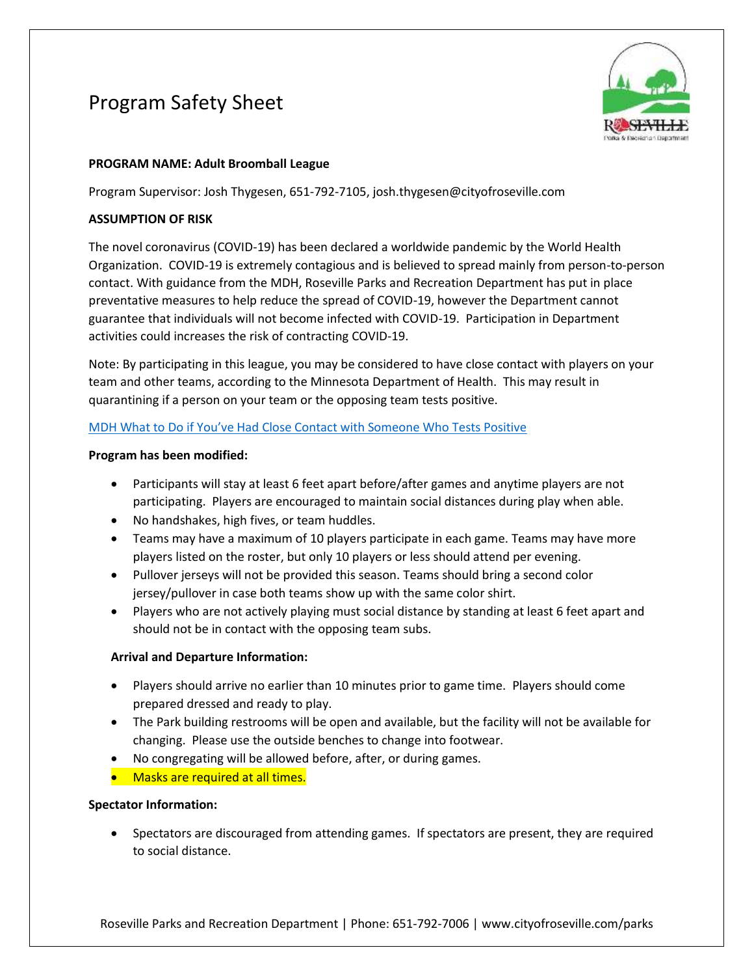# Program Safety Sheet



## **PROGRAM NAME: Adult Broomball League**

Program Supervisor: Josh Thygesen, 651-792-7105, josh.thygesen@cityofroseville.com

## **ASSUMPTION OF RISK**

The novel coronavirus (COVID-19) has been declared a worldwide pandemic by the World Health Organization. COVID-19 is extremely contagious and is believed to spread mainly from person-to-person contact. With guidance from the MDH, Roseville Parks and Recreation Department has put in place preventative measures to help reduce the spread of COVID-19, however the Department cannot guarantee that individuals will not become infected with COVID-19. Participation in Department activities could increases the risk of contracting COVID-19.

Note: By participating in this league, you may be considered to have close contact with players on your team and other teams, according to the Minnesota Department of Health. This may result in quarantining if a person on your team or the opposing team tests positive.

## [MDH What to Do if You've Had Close Contact with Someone Who Tests Positive](https://www.health.state.mn.us/diseases/coronavirus/contact.pdf)

### **Program has been modified:**

- Participants will stay at least 6 feet apart before/after games and anytime players are not participating. Players are encouraged to maintain social distances during play when able.
- No handshakes, high fives, or team huddles.
- Teams may have a maximum of 10 players participate in each game. Teams may have more players listed on the roster, but only 10 players or less should attend per evening.
- Pullover jerseys will not be provided this season. Teams should bring a second color jersey/pullover in case both teams show up with the same color shirt.
- Players who are not actively playing must social distance by standing at least 6 feet apart and should not be in contact with the opposing team subs.

## **Arrival and Departure Information:**

- Players should arrive no earlier than 10 minutes prior to game time. Players should come prepared dressed and ready to play.
- The Park building restrooms will be open and available, but the facility will not be available for changing. Please use the outside benches to change into footwear.
- No congregating will be allowed before, after, or during games.
- Masks are required at all times.

## **Spectator Information:**

• Spectators are discouraged from attending games. If spectators are present, they are required to social distance.

Roseville Parks and Recreation Department | Phone: 651-792-7006 | www.cityofroseville.com/parks